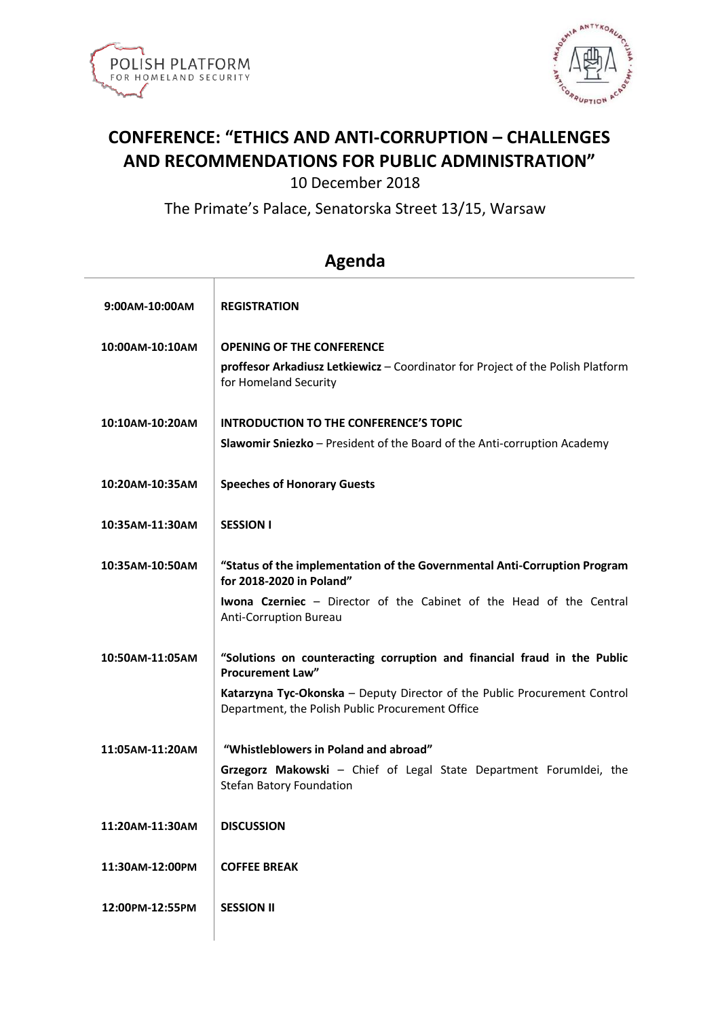



## **CONFERENCE: "ETHICS AND ANTI-CORRUPTION – CHALLENGES AND RECOMMENDATIONS FOR PUBLIC ADMINISTRATION"**

10 December 2018

The Primate's Palace, Senatorska Street 13/15, Warsaw

| 9:00AM-10:00AM  | <b>REGISTRATION</b>                                                                                                           |
|-----------------|-------------------------------------------------------------------------------------------------------------------------------|
| 10:00AM-10:10AM | <b>OPENING OF THE CONFERENCE</b>                                                                                              |
|                 | proffesor Arkadiusz Letkiewicz - Coordinator for Project of the Polish Platform<br>for Homeland Security                      |
| 10:10AM-10:20AM | <b>INTRODUCTION TO THE CONFERENCE'S TOPIC</b>                                                                                 |
|                 | Slawomir Sniezko - President of the Board of the Anti-corruption Academy                                                      |
| 10:20AM-10:35AM | <b>Speeches of Honorary Guests</b>                                                                                            |
| 10:35AM-11:30AM | <b>SESSION I</b>                                                                                                              |
| 10:35AM-10:50AM | "Status of the implementation of the Governmental Anti-Corruption Program<br>for 2018-2020 in Poland"                         |
|                 | Iwona Czerniec - Director of the Cabinet of the Head of the Central<br><b>Anti-Corruption Bureau</b>                          |
| 10:50AM-11:05AM | "Solutions on counteracting corruption and financial fraud in the Public<br><b>Procurement Law"</b>                           |
|                 | Katarzyna Tyc-Okonska - Deputy Director of the Public Procurement Control<br>Department, the Polish Public Procurement Office |
| 11:05AM-11:20AM | "Whistleblowers in Poland and abroad"                                                                                         |
|                 | Grzegorz Makowski - Chief of Legal State Department Forumidei, the<br><b>Stefan Batory Foundation</b>                         |
| 11:20AM-11:30AM | <b>DISCUSSION</b>                                                                                                             |
| 11:30AM-12:00PM | <b>COFFEE BREAK</b>                                                                                                           |
| 12:00PM-12:55PM | <b>SESSION II</b>                                                                                                             |
|                 |                                                                                                                               |

## **Agenda**